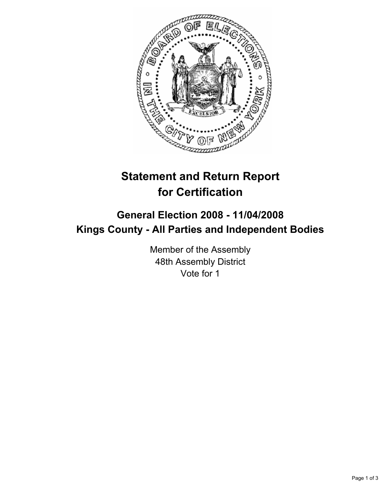

# **Statement and Return Report for Certification**

## **General Election 2008 - 11/04/2008 Kings County - All Parties and Independent Bodies**

Member of the Assembly 48th Assembly District Vote for 1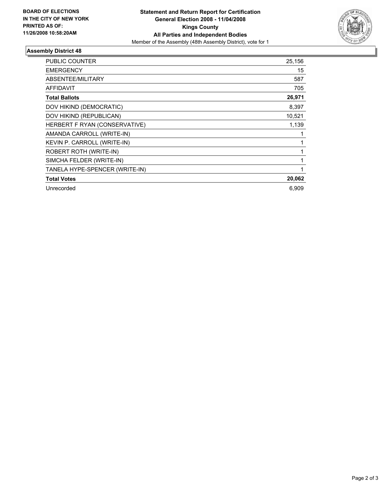

### **Assembly District 48**

| <b>PUBLIC COUNTER</b>          | 25,156 |
|--------------------------------|--------|
| <b>EMERGENCY</b>               | 15     |
| ABSENTEE/MILITARY              | 587    |
| <b>AFFIDAVIT</b>               | 705    |
| <b>Total Ballots</b>           | 26,971 |
| DOV HIKIND (DEMOCRATIC)        | 8,397  |
| DOV HIKIND (REPUBLICAN)        | 10,521 |
| HERBERT F RYAN (CONSERVATIVE)  | 1,139  |
| AMANDA CARROLL (WRITE-IN)      |        |
| KEVIN P. CARROLL (WRITE-IN)    |        |
| ROBERT ROTH (WRITE-IN)         |        |
| SIMCHA FELDER (WRITE-IN)       |        |
| TANELA HYPE-SPENCER (WRITE-IN) |        |
| <b>Total Votes</b>             | 20,062 |
| Unrecorded                     | 6,909  |